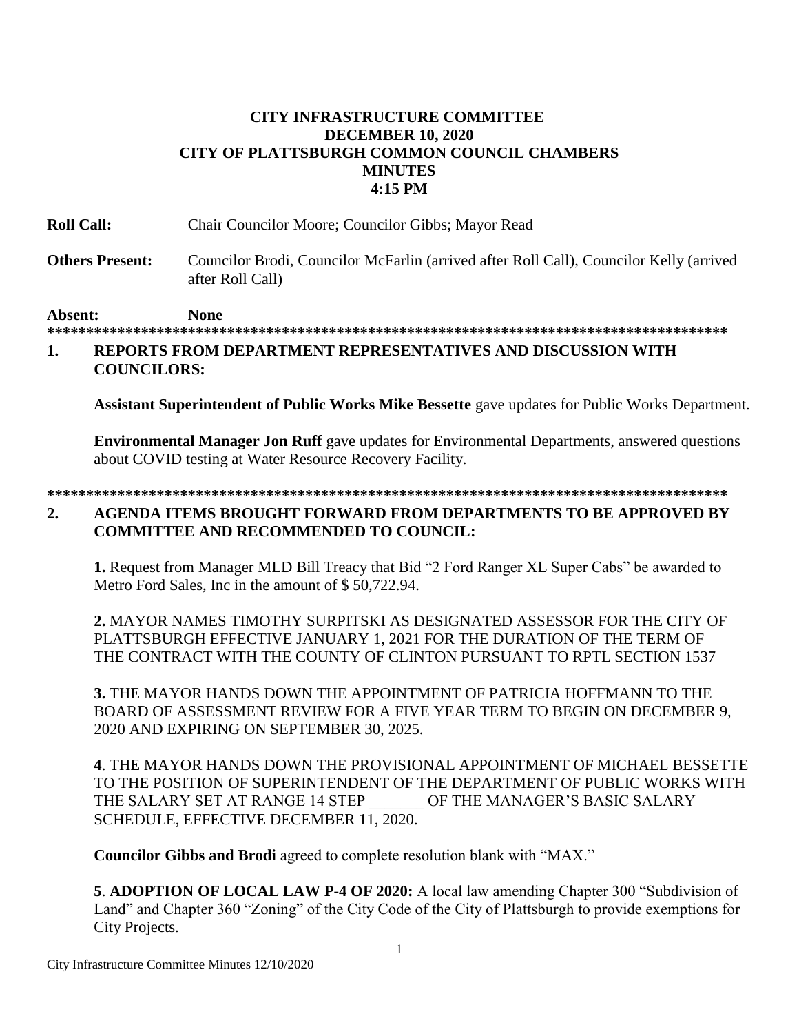## **CITY INFRASTRUCTURE COMMITTEE DECEMBER 10, 2020** CITY OF PLATTSBURGH COMMON COUNCIL CHAMBERS **MINUTES** 4:15 PM

| <b>Roll Call:</b>      | Chair Councilor Moore; Councilor Gibbs; Mayor Read                                                          |
|------------------------|-------------------------------------------------------------------------------------------------------------|
| <b>Others Present:</b> | Councilor Brodi, Councilor McFarlin (arrived after Roll Call), Councilor Kelly (arrived<br>after Roll Call) |
| <b>Absent:</b>         | None                                                                                                        |

## REPORTS FROM DEPARTMENT REPRESENTATIVES AND DISCUSSION WITH 1. **COUNCILORS:**

Assistant Superintendent of Public Works Mike Bessette gave updates for Public Works Department.

**Environmental Manager Jon Ruff** gave updates for Environmental Departments, answered questions about COVID testing at Water Resource Recovery Facility.

## $2.$ AGENDA ITEMS BROUGHT FORWARD FROM DEPARTMENTS TO BE APPROVED BY **COMMITTEE AND RECOMMENDED TO COUNCIL:**

1. Request from Manager MLD Bill Treacy that Bid "2 Ford Ranger XL Super Cabs" be awarded to Metro Ford Sales. Inc in the amount of \$50,722.94.

2. MAYOR NAMES TIMOTHY SURPITSKI AS DESIGNATED ASSESSOR FOR THE CITY OF PLATTSBURGH EFFECTIVE JANUARY 1, 2021 FOR THE DURATION OF THE TERM OF THE CONTRACT WITH THE COUNTY OF CLINTON PURSUANT TO RPTL SECTION 1537

3. THE MAYOR HANDS DOWN THE APPOINTMENT OF PATRICIA HOFFMANN TO THE BOARD OF ASSESSMENT REVIEW FOR A FIVE YEAR TERM TO BEGIN ON DECEMBER 9, 2020 AND EXPIRING ON SEPTEMBER 30, 2025.

4. THE MAYOR HANDS DOWN THE PROVISIONAL APPOINTMENT OF MICHAEL BESSETTE TO THE POSITION OF SUPERINTENDENT OF THE DEPARTMENT OF PUBLIC WORKS WITH THE SALARY SET AT RANGE 14 STEP OF THE MANAGER'S BASIC SALARY SCHEDULE, EFFECTIVE DECEMBER 11, 2020.

**Councilor Gibbs and Brodi** agreed to complete resolution blank with "MAX."

5. ADOPTION OF LOCAL LAW P-4 OF 2020: A local law amending Chapter 300 "Subdivision of Land" and Chapter 360 "Zoning" of the City Code of the City of Plattsburgh to provide exemptions for City Projects.